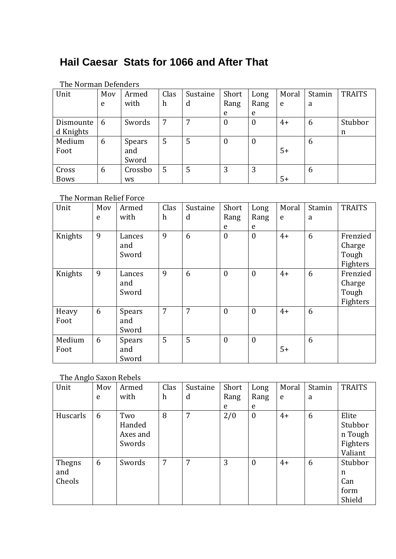# **Hail Caesar Stats for 1066 and After That**

| THE MULIHAN DETENTELS |     |           |      |          |                  |                  |       |        |               |
|-----------------------|-----|-----------|------|----------|------------------|------------------|-------|--------|---------------|
| Unit                  | Moy | Armed     | Clas | Sustaine | Short            | Long             | Moral | Stamin | <b>TRAITS</b> |
|                       | e   | with      | h    | d        | Rang             | Rang             | e     | a      |               |
|                       |     |           |      |          | e                | e                |       |        |               |
| Dismounte             | 6   | Swords    | 7    |          | $\boldsymbol{0}$ | $\boldsymbol{0}$ | $4+$  | 6      | Stubbor       |
| d Knights             |     |           |      |          |                  |                  |       |        | n             |
| Medium                | 6   | Spears    | 5    | 5        | $\boldsymbol{0}$ | $\boldsymbol{0}$ |       | 6      |               |
| Foot                  |     | and       |      |          |                  |                  | $5+$  |        |               |
|                       |     | Sword     |      |          |                  |                  |       |        |               |
| Cross                 | 6   | Crossbo   | 5    | 5        | 3                | 3                |       | 6      |               |
| <b>Bows</b>           |     | <b>WS</b> |      |          |                  |                  | $5+$  |        |               |

#### The Norman Defenders

#### The Norman Relief Force

| Unit    | Mov | Armed         | Clas             | Sustaine | Short            | Long             | Moral | Stamin | <b>TRAITS</b> |
|---------|-----|---------------|------------------|----------|------------------|------------------|-------|--------|---------------|
|         | e   | with          | $\boldsymbol{h}$ | d        | Rang             | Rang             | e     | a      |               |
|         |     |               |                  |          | e                | e                |       |        |               |
| Knights | 9   | Lances        | 9                | 6        | $\boldsymbol{0}$ | $\overline{0}$   | $4+$  | 6      | Frenzied      |
|         |     | and           |                  |          |                  |                  |       |        | Charge        |
|         |     | Sword         |                  |          |                  |                  |       |        | Tough         |
|         |     |               |                  |          |                  |                  |       |        | Fighters      |
| Knights | 9   | Lances        | 9                | 6        | $\boldsymbol{0}$ | $\boldsymbol{0}$ | $4+$  | 6      | Frenzied      |
|         |     | and           |                  |          |                  |                  |       |        | Charge        |
|         |     | Sword         |                  |          |                  |                  |       |        | Tough         |
|         |     |               |                  |          |                  |                  |       |        | Fighters      |
| Heavy   | 6   | <b>Spears</b> | $\overline{7}$   | 7        | $\theta$         | $\overline{0}$   | $4+$  | 6      |               |
| Foot    |     | and           |                  |          |                  |                  |       |        |               |
|         |     | Sword         |                  |          |                  |                  |       |        |               |
| Medium  | 6   | <b>Spears</b> | 5                | 5        | $\mathbf{0}$     | $\boldsymbol{0}$ |       | 6      |               |
| Foot    |     | and           |                  |          |                  |                  | $5+$  |        |               |
|         |     | Sword         |                  |          |                  |                  |       |        |               |

## The Anglo Saxon Rebels

| Unit     | Mov | Armed    | Clas | Sustaine | Short | Long             | Moral | Stamin | <b>TRAITS</b> |
|----------|-----|----------|------|----------|-------|------------------|-------|--------|---------------|
|          | e   | with     | h    | d        | Rang  | Rang             | e     | a      |               |
|          |     |          |      |          | e     | e                |       |        |               |
| Huscarls | 6   | Two      | 8    | 7        | 2/0   | $\boldsymbol{0}$ | $4+$  | 6      | Elite         |
|          |     | Handed   |      |          |       |                  |       |        | Stubbor       |
|          |     | Axes and |      |          |       |                  |       |        | n Tough       |
|          |     | Swords   |      |          |       |                  |       |        | Fighters      |
|          |     |          |      |          |       |                  |       |        | Valiant       |
| Thegns   | 6   | Swords   | 7    | 7        | 3     | $\boldsymbol{0}$ | $4+$  | 6      | Stubbor       |
| and      |     |          |      |          |       |                  |       |        | n             |
| Cheols   |     |          |      |          |       |                  |       |        | Can           |
|          |     |          |      |          |       |                  |       |        | form          |
|          |     |          |      |          |       |                  |       |        | Shield        |